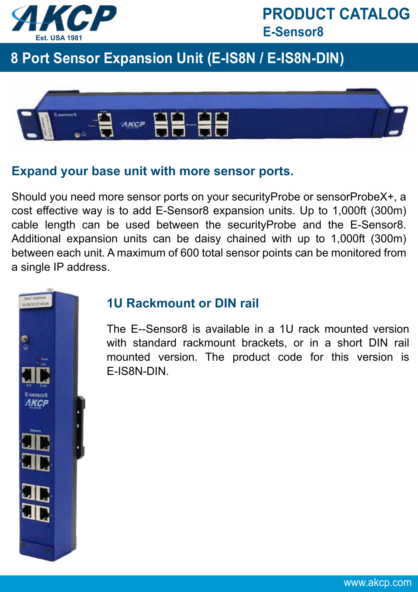

### **8 Port Sensor Expansion Unit (E-IS8N / E-IS8N-DIN)**



#### **Expand your base unit with more sensor ports.**

Should you need more sensor ports on your securityProbe or sensorProbeX+, a cost effective way is to add E-Sensor8 expansion units. Up to 1,000ft (300m) cable length can be used between the securityProbe and the E-Sensor8. Additional expansion units can be daisy chained with up to 1,000ft (300m) between each unit. A maximum of 600 total sensor points can be monitored from a single IP address.



#### **1U Rackmount or DIN rail**

The E--Sensor8 is available in a 1U rack mounted version with standard rackmount brackets, or in a short DIN rail mounted version. The product code for this version is E-IS8N-DIN.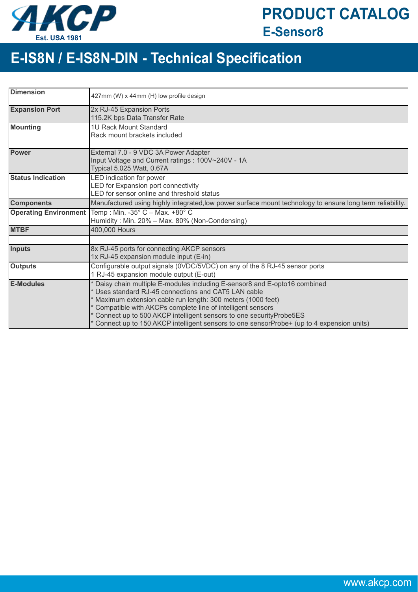

## **E-IS8N / E-IS8N-DIN - Technical Specification**

| <b>Dimension</b>             | 427mm (W) x 44mm (H) low profile design                                                                                                                                                                                                                                                                                                                                                                                                |
|------------------------------|----------------------------------------------------------------------------------------------------------------------------------------------------------------------------------------------------------------------------------------------------------------------------------------------------------------------------------------------------------------------------------------------------------------------------------------|
| <b>Expansion Port</b>        | 2x RJ-45 Expansion Ports<br>115.2K bps Data Transfer Rate                                                                                                                                                                                                                                                                                                                                                                              |
| <b>Mounting</b>              | 1U Rack Mount Standard<br>Rack mount brackets included                                                                                                                                                                                                                                                                                                                                                                                 |
| <b>Power</b>                 | External 7.0 - 9 VDC 3A Power Adapter<br>Input Voltage and Current ratings: 100V~240V - 1A<br>Typical 5.025 Watt, 0.67A                                                                                                                                                                                                                                                                                                                |
| <b>Status Indication</b>     | LED indication for power<br>LED for Expansion port connectivity<br>LED for sensor online and threshold status                                                                                                                                                                                                                                                                                                                          |
| <b>Components</b>            | Manufactured using highly integrated, low power surface mount technology to ensure long term reliability.                                                                                                                                                                                                                                                                                                                              |
| <b>Operating Environment</b> | Temp: Min. -35° C - Max. +80° C<br>Humidity: Min. 20% - Max. 80% (Non-Condensing)                                                                                                                                                                                                                                                                                                                                                      |
| <b>MTBF</b>                  | 400,000 Hours                                                                                                                                                                                                                                                                                                                                                                                                                          |
|                              |                                                                                                                                                                                                                                                                                                                                                                                                                                        |
| <b>Inputs</b>                | 8x RJ-45 ports for connecting AKCP sensors<br>1x RJ-45 expansion module input (E-in)                                                                                                                                                                                                                                                                                                                                                   |
| <b>Outputs</b>               | Configurable output signals (0VDC/5VDC) on any of the 8 RJ-45 sensor ports<br>1 RJ-45 expansion module output (E-out)                                                                                                                                                                                                                                                                                                                  |
| <b>E-Modules</b>             | Daisy chain multiple E-modules including E-sensor8 and E-opto16 combined<br>* Uses standard RJ-45 connections and CAT5 LAN cable<br>* Maximum extension cable run length: 300 meters (1000 feet)<br>* Compatible with AKCPs complete line of intelligent sensors<br>* Connect up to 500 AKCP intelligent sensors to one securityProbe5ES<br>* Connect up to 150 AKCP intelligent sensors to one sensorProbe+ (up to 4 expension units) |